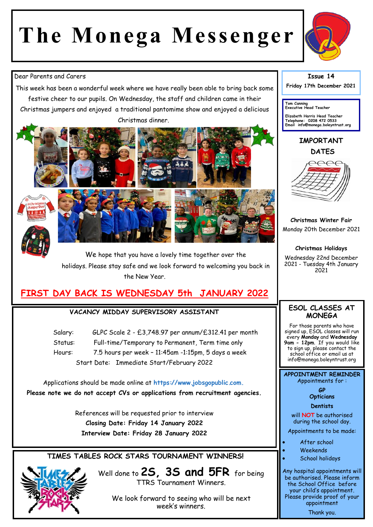# **The Monega Messenger**



#### Dear Parents and Carers

This week has been a wonderful week where we have really been able to bring back some festive cheer to our pupils. On Wednesday, the staff and children came in their Christmas jumpers and enjoyed a traditional pantomime show and enjoyed a delicious Christmas dinner.



We hope that you have a lovely time together over the holidays. Please stay safe and we look forward to welcoming you back in the New Year.

# **FIRST DAY BACK IS WEDNESDAY 5th JANUARY 2022**

#### **VACANCY MIDDAY SUPERVISORY ASSISTANT**

Salary: GLPC Scale 2 - £3,748.97 per annum/£312.41 per month Status: Full-time/Temporary to Permanent, Term time only Hours: 7.5 hours per week – 11:45am -1:15pm, 5 days a week Start Date: Immediate Start/February 2022

Applications should be made online at **https://www.jobsgopublic.com. Please note we do not accept CVs or applications from recruitment agencies.**

> References will be requested prior to interview **Closing Date: Friday 14 January 2022 Interview Date: Friday 28 January 2022**

### **TIMES TABLES ROCK STARS TOURNAMENT WINNERS!**

Well done to **2S, 3S and 5FR** for being TTRS Tournament Winners.

> We look forward to seeing who will be next week's winners.

## **Issue 14**

**Friday 17th December 2021** 

**Tom Canning Executive Head Teacher**

**Elizabeth Harris Head Teacher Telephone: 0208 472 0533 Email info@monega.boleyntrust.org** 

**IMPORTANT DATES**



**Christmas Winter Fair** Monday 20th December 2021

**Christmas Holidays** Wednesday 22nd December 2021 - Tuesday 4th January 2021

#### **ESOL CLASSES AT MONEGA**

For those parents who have signed up, ESOL classes will run every **Monday** and **Wednesday 9am - 12pm**. If you would like to sign up, please contact the school office or email us at info@monega.boleyntrust.org

**APPOINTMENT REMINDER** Appointments for :

> **GP Opticians**

**Dentists** 

will **NOT** be authorised during the school day.

Appointments to be made:

- After school
- Weekends
- School holidays

Any hospital appointments will be authorised. Please inform the School Office before your child's appointment. Please provide proof of your appointment Thank you.